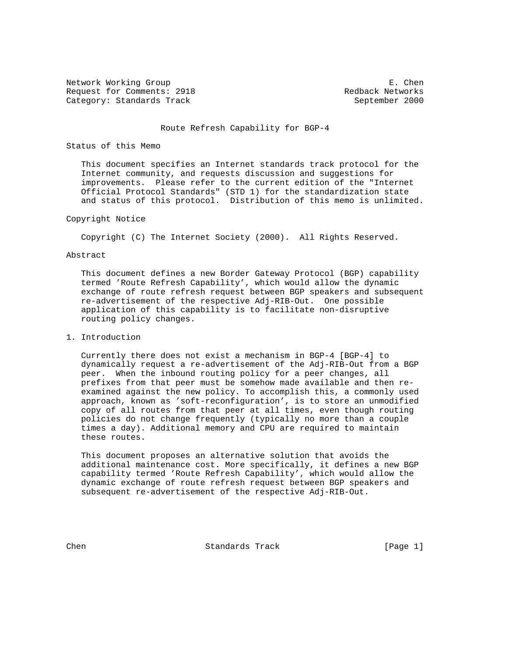Network Working Group extends the set of the set of the set of the set of the set of the set of the set of the set of the set of the set of the set of the set of the set of the set of the set of the set of the set of the s Request for Comments: 2918 Redback Networks Category: Standards Track September 2000

## Route Refresh Capability for BGP-4

## Status of this Memo

 This document specifies an Internet standards track protocol for the Internet community, and requests discussion and suggestions for improvements. Please refer to the current edition of the "Internet Official Protocol Standards" (STD 1) for the standardization state and status of this protocol. Distribution of this memo is unlimited.

# Copyright Notice

Copyright (C) The Internet Society (2000). All Rights Reserved.

# Abstract

 This document defines a new Border Gateway Protocol (BGP) capability termed 'Route Refresh Capability', which would allow the dynamic exchange of route refresh request between BGP speakers and subsequent re-advertisement of the respective Adj-RIB-Out. One possible application of this capability is to facilitate non-disruptive routing policy changes.

# 1. Introduction

 Currently there does not exist a mechanism in BGP-4 [BGP-4] to dynamically request a re-advertisement of the Adj-RIB-Out from a BGP peer. When the inbound routing policy for a peer changes, all prefixes from that peer must be somehow made available and then re examined against the new policy. To accomplish this, a commonly used approach, known as 'soft-reconfiguration', is to store an unmodified copy of all routes from that peer at all times, even though routing policies do not change frequently (typically no more than a couple times a day). Additional memory and CPU are required to maintain these routes.

 This document proposes an alternative solution that avoids the additional maintenance cost. More specifically, it defines a new BGP capability termed 'Route Refresh Capability', which would allow the dynamic exchange of route refresh request between BGP speakers and subsequent re-advertisement of the respective Adj-RIB-Out.

Chen Standards Track [Page 1]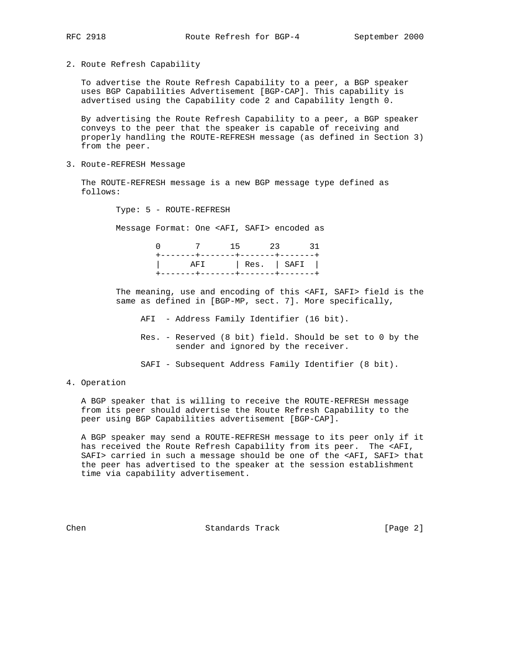- 
- 2. Route Refresh Capability

 To advertise the Route Refresh Capability to a peer, a BGP speaker uses BGP Capabilities Advertisement [BGP-CAP]. This capability is advertised using the Capability code 2 and Capability length 0.

 By advertising the Route Refresh Capability to a peer, a BGP speaker conveys to the peer that the speaker is capable of receiving and properly handling the ROUTE-REFRESH message (as defined in Section 3) from the peer.

3. Route-REFRESH Message

 The ROUTE-REFRESH message is a new BGP message type defined as follows:

Type: 5 - ROUTE-REFRESH

Message Format: One <AFI, SAFI> encoded as

|  | 0 7 15 23 31                      |  |
|--|-----------------------------------|--|
|  | +-------+-------+-------+-------+ |  |
|  | AFI   Res.   SAFI                 |  |
|  | +-------+-------+-------+-------  |  |

 The meaning, use and encoding of this <AFI, SAFI> field is the same as defined in [BGP-MP, sect. 7]. More specifically,

AFI - Address Family Identifier (16 bit).

 Res. - Reserved (8 bit) field. Should be set to 0 by the sender and ignored by the receiver.

SAFI - Subsequent Address Family Identifier (8 bit).

# 4. Operation

 A BGP speaker that is willing to receive the ROUTE-REFRESH message from its peer should advertise the Route Refresh Capability to the peer using BGP Capabilities advertisement [BGP-CAP].

 A BGP speaker may send a ROUTE-REFRESH message to its peer only if it has received the Route Refresh Capability from its peer. The <AFI, SAFI> carried in such a message should be one of the <AFI, SAFI> that the peer has advertised to the speaker at the session establishment time via capability advertisement.

Chen Standards Track [Page 2]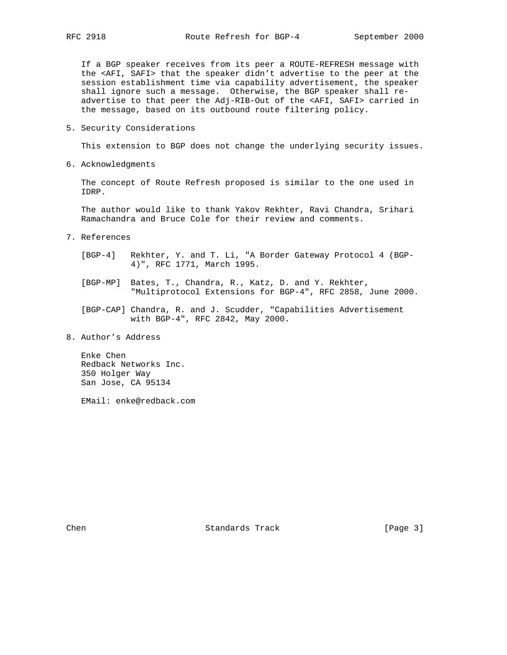If a BGP speaker receives from its peer a ROUTE-REFRESH message with the <AFI, SAFI> that the speaker didn't advertise to the peer at the session establishment time via capability advertisement, the speaker shall ignore such a message. Otherwise, the BGP speaker shall re advertise to that peer the Adj-RIB-Out of the <AFI, SAFI> carried in the message, based on its outbound route filtering policy.

5. Security Considerations

This extension to BGP does not change the underlying security issues.

6. Acknowledgments

 The concept of Route Refresh proposed is similar to the one used in IDRP.

 The author would like to thank Yakov Rekhter, Ravi Chandra, Srihari Ramachandra and Bruce Cole for their review and comments.

- 7. References
	- [BGP-4] Rekhter, Y. and T. Li, "A Border Gateway Protocol 4 (BGP- 4)", RFC 1771, March 1995.
	- [BGP-MP] Bates, T., Chandra, R., Katz, D. and Y. Rekhter, "Multiprotocol Extensions for BGP-4", RFC 2858, June 2000.
	- [BGP-CAP] Chandra, R. and J. Scudder, "Capabilities Advertisement with BGP-4", RFC 2842, May 2000.
- 8. Author's Address

 Enke Chen Redback Networks Inc. 350 Holger Way San Jose, CA 95134

EMail: enke@redback.com

Chen Standards Track [Page 3]